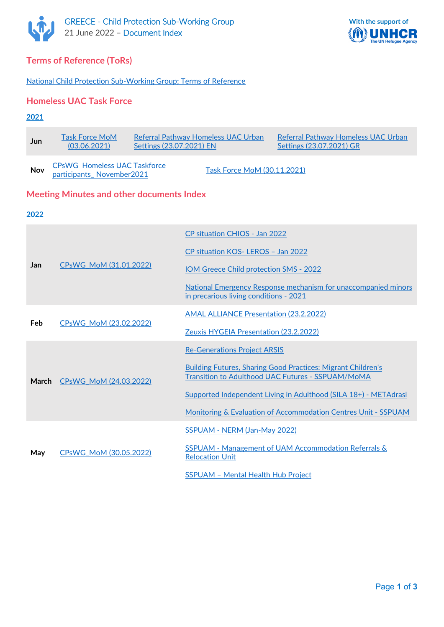



# **Terms of Reference (ToRs)**

[National Child Protection Sub-Working Group; Terms of Reference](https://data2.unhcr.org/en/documents/download/84830)

### **Homeless UAC Task Force**

#### **2021**

| <b>Jun</b> | Task Force MoM<br>(03.06.2021)                                   | Referral Pathway Homeless UAC Urban<br>Settings (23.07.2021) EN |                             | Referral Pathway Homeless UAC Urban<br>Settings (23.07.2021) GR |
|------------|------------------------------------------------------------------|-----------------------------------------------------------------|-----------------------------|-----------------------------------------------------------------|
| Nov        | <b>CPsWG Homeless UAC Taskforce</b><br>participants_November2021 |                                                                 | Task Force MoM (30.11.2021) |                                                                 |

## **Meeting Minutes and other documents Index**

#### **2022**

| <b>Jan</b> |                                     | CP situation CHIOS - Jan 2022                                                                                                   |  |  |
|------------|-------------------------------------|---------------------------------------------------------------------------------------------------------------------------------|--|--|
|            | CPsWG MoM (31.01.2022)              | CP situation KOS- LEROS - Jan 2022                                                                                              |  |  |
|            |                                     | IOM Greece Child protection SMS - 2022                                                                                          |  |  |
|            |                                     | National Emergency Response mechanism for unaccompanied minors<br>in precarious living conditions - 2021                        |  |  |
| Feb        |                                     | <b>AMAL ALLIANCE Presentation (23.2.2022)</b>                                                                                   |  |  |
|            | CP <sub>s</sub> WG MoM (23.02.2022) | Zeuxis HYGEIA Presentation (23.2.2022)                                                                                          |  |  |
|            |                                     | <b>Re-Generations Project ARSIS</b>                                                                                             |  |  |
|            | <b>March</b> CPsWG MoM (24.03.2022) | <b>Building Futures, Sharing Good Practices: Migrant Children's</b><br><b>Transition to Adulthood UAC Futures - SSPUAM/MoMA</b> |  |  |
|            |                                     | Supported Independent Living in Adulthood (SILA 18+) - METAdrasi                                                                |  |  |
|            |                                     | Monitoring & Evaluation of Accommodation Centres Unit - SSPUAM                                                                  |  |  |
| May        | CPsWG MoM (30.05.2022)              | SSPUAM - NERM (Jan-May 2022)                                                                                                    |  |  |
|            |                                     | <b>SSPUAM - Management of UAM Accommodation Referrals &amp;</b><br><b>Relocation Unit</b>                                       |  |  |
|            |                                     | <b>SSPUAM - Mental Health Hub Project</b>                                                                                       |  |  |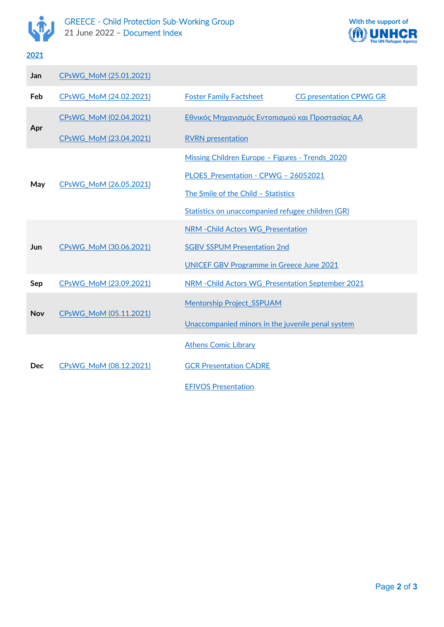



## **2021**

| Jan        | CPsWG_MoM (25.01.2021) |                                                   |                                |  |  |
|------------|------------------------|---------------------------------------------------|--------------------------------|--|--|
| Feb        | CPsWG_MoM (24.02.2021) | <b>Foster Family Factsheet</b>                    | <b>CG presentation CPWG GR</b> |  |  |
| Apr        | CPsWG MoM (02.04.2021) | Εθνικός Μηχανισμός Εντοπισμού και Προστασίας ΑΑ   |                                |  |  |
|            | CPsWG_MoM (23.04.2021) | <b>RVRN</b> presentation                          |                                |  |  |
| May        |                        | Missing Children Europe - Figures - Trends_2020   |                                |  |  |
|            | CPsWG_MoM (26.05.2021) | PLOES_Presentation - CPWG - 26052021              |                                |  |  |
|            |                        | The Smile of the Child - Statistics               |                                |  |  |
|            |                        | Statistics on unaccompanied refugee children (GR) |                                |  |  |
| Jun        |                        | NRM - Child Actors WG_Presentation                |                                |  |  |
|            | CPsWG_MoM (30.06.2021) | <b>SGBV SSPUM Presentation 2nd</b>                |                                |  |  |
|            |                        | <b>UNICEF GBV Programme in Greece June 2021</b>   |                                |  |  |
| Sep        | CPsWG MoM (23.09.2021) | NRM - Child Actors WG Presentation September 2021 |                                |  |  |
| <b>Nov</b> |                        | <b>Mentorship Project SSPUAM</b>                  |                                |  |  |
|            | CPsWG_MoM (05.11.2021) | Unaccompanied minors in the juvenile penal system |                                |  |  |
| Dec        | CPsWG MoM (08.12.2021) | <b>Athens Comic Library</b>                       |                                |  |  |
|            |                        | <b>GCR Presentation CADRE</b>                     |                                |  |  |
|            |                        | <b>EFIVOS Presentation</b>                        |                                |  |  |